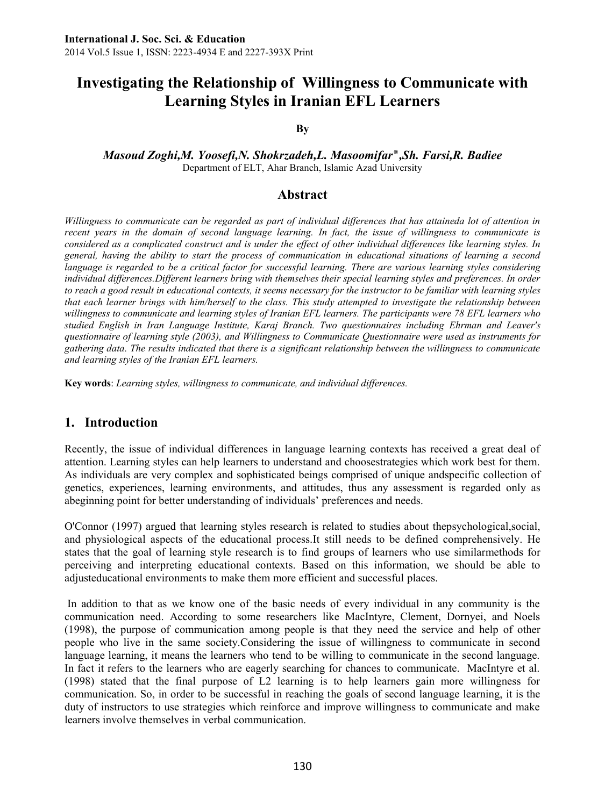# **Investigating the Relationship of Willingness to Communicate with Learning Styles in Iranian EFL Learners**

#### **By**

#### *Masoud Zoghi,M. Yoosefi,N. Shokrzadeh,L. Masoomifar*٭*,Sh. Farsi,R. Badiee* Department of ELT, Ahar Branch, Islamic Azad University

### **Abstract**

Willingness to communicate can be regarded as part of individual differences that has attaineda lot of attention in *recent years in the domain of second language learning. In fact, the issue of willingness to communicate is considered as a complicated construct and is under the effect of other individual differences like learning styles. In general, having the ability to start the process of communication in educational situations of learning a second language is regarded to be a critical factor for successful learning. There are various learning styles considering individual differences.Different learners bring with themselves their special learning styles and preferences. In order to reach a good result in educational contexts, it seems necessary for the instructor to be familiar with learning styles that each learner brings with him/herself to the class. This study attempted to investigate the relationship between willingness to communicate and learning styles of Iranian EFL learners. The participants were 78 EFL learners who studied English in Iran Language Institute, Karaj Branch. Two questionnaires including Ehrman and Leaver's questionnaire of learning style (2003), and Willingness to Communicate Questionnaire were used as instruments for gathering data. The results indicated that there is a significant relationship between the willingness to communicate and learning styles of the Iranian EFL learners.* 

**Key words**: *Learning styles, willingness to communicate, and individual differences.*

### **1. Introduction**

Recently, the issue of individual differences in language learning contexts has received a great deal of attention. Learning styles can help learners to understand and choosestrategies which work best for them. As individuals are very complex and sophisticated beings comprised of unique andspecific collection of genetics, experiences, learning environments, and attitudes, thus any assessment is regarded only as abeginning point for better understanding of individuals' preferences and needs.

O'Connor (1997) argued that learning styles research is related to studies about thepsychological,social, and physiological aspects of the educational process.It still needs to be defined comprehensively. He states that the goal of learning style research is to find groups of learners who use similarmethods for perceiving and interpreting educational contexts. Based on this information, we should be able to adjusteducational environments to make them more efficient and successful places.

In addition to that as we know one of the basic needs of every individual in any community is the communication need. According to some researchers like MacIntyre, Clement, Dornyei, and Noels (1998), the purpose of communication among people is that they need the service and help of other people who live in the same society.Considering the issue of willingness to communicate in second language learning, it means the learners who tend to be willing to communicate in the second language. In fact it refers to the learners who are eagerly searching for chances to communicate. MacIntyre et al. (1998) stated that the final purpose of L2 learning is to help learners gain more willingness for communication. So, in order to be successful in reaching the goals of second language learning, it is the duty of instructors to use strategies which reinforce and improve willingness to communicate and make learners involve themselves in verbal communication.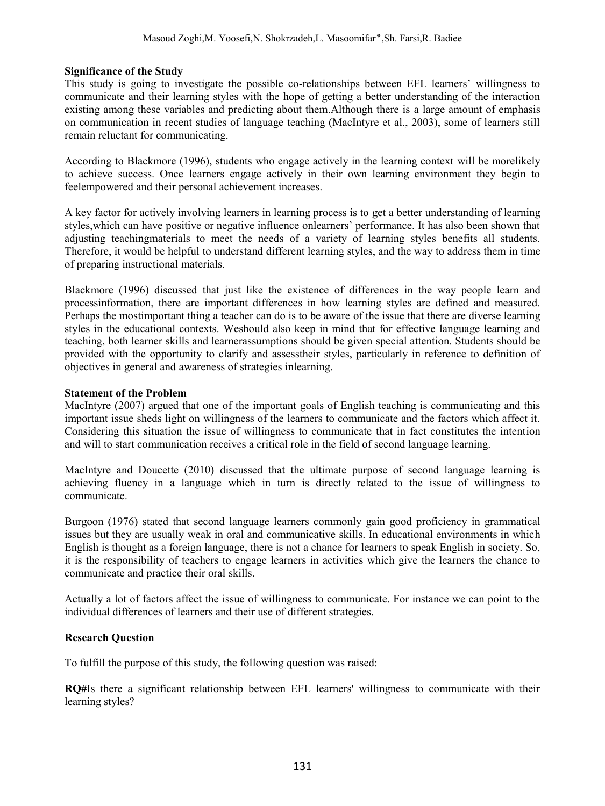#### **Significance of the Study**

This study is going to investigate the possible co-relationships between EFL learners' willingness to communicate and their learning styles with the hope of getting a better understanding of the interaction existing among these variables and predicting about them.Although there is a large amount of emphasis on communication in recent studies of language teaching (MacIntyre et al., 2003), some of learners still remain reluctant for communicating.

According to Blackmore (1996), students who engage actively in the learning context will be morelikely to achieve success. Once learners engage actively in their own learning environment they begin to feelempowered and their personal achievement increases.

A key factor for actively involving learners in learning process is to get a better understanding of learning styles,which can have positive or negative influence onlearners' performance. It has also been shown that adjusting teachingmaterials to meet the needs of a variety of learning styles benefits all students. Therefore, it would be helpful to understand different learning styles, and the way to address them in time of preparing instructional materials.

Blackmore (1996) discussed that just like the existence of differences in the way people learn and processinformation, there are important differences in how learning styles are defined and measured. Perhaps the mostimportant thing a teacher can do is to be aware of the issue that there are diverse learning styles in the educational contexts. Weshould also keep in mind that for effective language learning and teaching, both learner skills and learnerassumptions should be given special attention. Students should be provided with the opportunity to clarify and assesstheir styles, particularly in reference to definition of objectives in general and awareness of strategies inlearning.

#### **Statement of the Problem**

MacIntyre (2007) argued that one of the important goals of English teaching is communicating and this important issue sheds light on willingness of the learners to communicate and the factors which affect it. Considering this situation the issue of willingness to communicate that in fact constitutes the intention and will to start communication receives a critical role in the field of second language learning.

MacIntyre and Doucette (2010) discussed that the ultimate purpose of second language learning is achieving fluency in a language which in turn is directly related to the issue of willingness to communicate.

Burgoon (1976) stated that second language learners commonly gain good proficiency in grammatical issues but they are usually weak in oral and communicative skills. In educational environments in which English is thought as a foreign language, there is not a chance for learners to speak English in society. So, it is the responsibility of teachers to engage learners in activities which give the learners the chance to communicate and practice their oral skills.

Actually a lot of factors affect the issue of willingness to communicate. For instance we can point to the individual differences of learners and their use of different strategies.

#### **Research Question**

To fulfill the purpose of this study, the following question was raised:

**RQ#**Is there a significant relationship between EFL learners' willingness to communicate with their learning styles?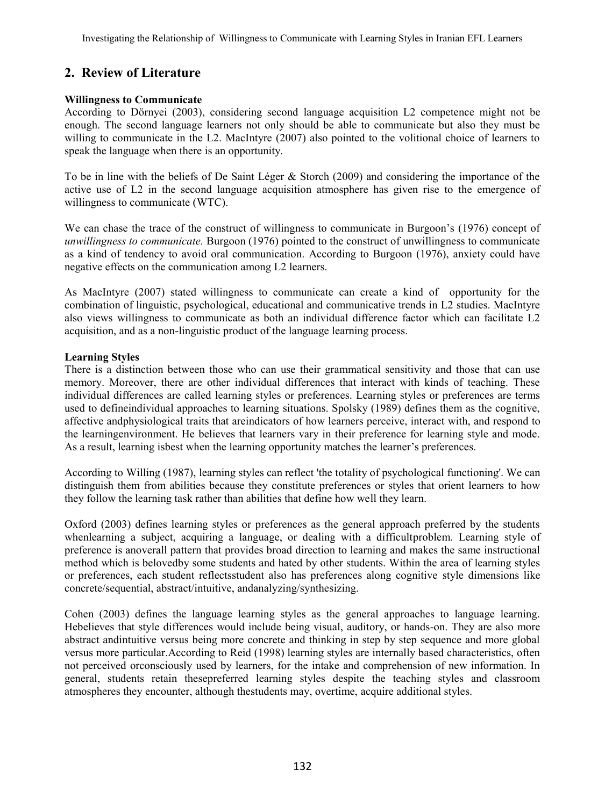# **2. Review of Literature**

#### **Willingness to Communicate**

According to Dörnyei (2003), considering second language acquisition L2 competence might not be enough. The second language learners not only should be able to communicate but also they must be willing to communicate in the L2. MacIntyre (2007) also pointed to the volitional choice of learners to speak the language when there is an opportunity.

To be in line with the beliefs of De Saint Léger & Storch (2009) and considering the importance of the active use of L2 in the second language acquisition atmosphere has given rise to the emergence of willingness to communicate (WTC).

We can chase the trace of the construct of willingness to communicate in Burgoon's (1976) concept of *unwillingness to communicate.* Burgoon (1976) pointed to the construct of unwillingness to communicate as a kind of tendency to avoid oral communication. According to Burgoon (1976), anxiety could have negative effects on the communication among L2 learners.

As MacIntyre (2007) stated willingness to communicate can create a kind of opportunity for the combination of linguistic, psychological, educational and communicative trends in L2 studies. MacIntyre also views willingness to communicate as both an individual difference factor which can facilitate L2 acquisition, and as a non-linguistic product of the language learning process.

#### **Learning Styles**

There is a distinction between those who can use their grammatical sensitivity and those that can use memory. Moreover, there are other individual differences that interact with kinds of teaching. These individual differences are called learning styles or preferences. Learning styles or preferences are terms used to defineindividual approaches to learning situations. Spolsky (1989) defines them as the cognitive, affective andphysiological traits that areindicators of how learners perceive, interact with, and respond to the learningenvironment. He believes that learners vary in their preference for learning style and mode. As a result, learning isbest when the learning opportunity matches the learner's preferences.

According to Willing (1987), learning styles can reflect 'the totality of psychological functioning'. We can distinguish them from abilities because they constitute preferences or styles that orient learners to how they follow the learning task rather than abilities that define how well they learn.

Oxford (2003) defines learning styles or preferences as the general approach preferred by the students whenlearning a subject, acquiring a language, or dealing with a difficultproblem. Learning style of preference is anoverall pattern that provides broad direction to learning and makes the same instructional method which is belovedby some students and hated by other students. Within the area of learning styles or preferences, each student reflectsstudent also has preferences along cognitive style dimensions like concrete/sequential, abstract/intuitive, andanalyzing/synthesizing.

Cohen (2003) defines the language learning styles as the general approaches to language learning. Hebelieves that style differences would include being visual, auditory, or hands-on. They are also more abstract andintuitive versus being more concrete and thinking in step by step sequence and more global versus more particular.According to Reid (1998) learning styles are internally based characteristics, often not perceived orconsciously used by learners, for the intake and comprehension of new information. In general, students retain thesepreferred learning styles despite the teaching styles and classroom atmospheres they encounter, although thestudents may, overtime, acquire additional styles.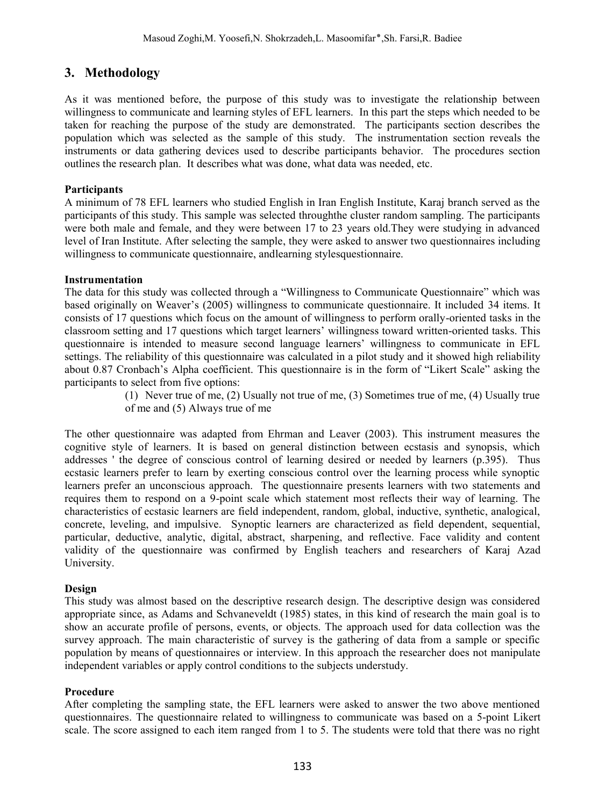### **3. Methodology**

As it was mentioned before, the purpose of this study was to investigate the relationship between willingness to communicate and learning styles of EFL learners. In this part the steps which needed to be taken for reaching the purpose of the study are demonstrated. The participants section describes the population which was selected as the sample of this study. The instrumentation section reveals the instruments or data gathering devices used to describe participants behavior. The procedures section outlines the research plan. It describes what was done, what data was needed, etc.

#### **Participants**

A minimum of 78 EFL learners who studied English in Iran English Institute, Karaj branch served as the participants of this study. This sample was selected throughthe cluster random sampling. The participants were both male and female, and they were between 17 to 23 years old.They were studying in advanced level of Iran Institute. After selecting the sample, they were asked to answer two questionnaires including willingness to communicate questionnaire, andlearning stylesquestionnaire.

#### **Instrumentation**

The data for this study was collected through a "Willingness to Communicate Questionnaire" which was based originally on Weaver's (2005) willingness to communicate questionnaire. It included 34 items. It consists of 17 questions which focus on the amount of willingness to perform orally-oriented tasks in the classroom setting and 17 questions which target learners' willingness toward written-oriented tasks. This questionnaire is intended to measure second language learners' willingness to communicate in EFL settings. The reliability of this questionnaire was calculated in a pilot study and it showed high reliability about 0.87 Cronbach's Alpha coefficient. This questionnaire is in the form of "Likert Scale" asking the participants to select from five options:

(1) Never true of me, (2) Usually not true of me, (3) Sometimes true of me, (4) Usually true of me and (5) Always true of me

The other questionnaire was adapted from Ehrman and Leaver (2003). This instrument measures the cognitive style of learners. It is based on general distinction between ecstasis and synopsis, which addresses ' the degree of conscious control of learning desired or needed by learners (p.395). Thus ecstasic learners prefer to learn by exerting conscious control over the learning process while synoptic learners prefer an unconscious approach. The questionnaire presents learners with two statements and requires them to respond on a 9-point scale which statement most reflects their way of learning. The characteristics of ecstasic learners are field independent, random, global, inductive, synthetic, analogical, concrete, leveling, and impulsive. Synoptic learners are characterized as field dependent, sequential, particular, deductive, analytic, digital, abstract, sharpening, and reflective. Face validity and content validity of the questionnaire was confirmed by English teachers and researchers of Karaj Azad University.

#### **Design**

This study was almost based on the descriptive research design. The descriptive design was considered appropriate since, as Adams and Schvaneveldt (1985) states, in this kind of research the main goal is to show an accurate profile of persons, events, or objects. The approach used for data collection was the survey approach. The main characteristic of survey is the gathering of data from a sample or specific population by means of questionnaires or interview. In this approach the researcher does not manipulate independent variables or apply control conditions to the subjects understudy.

#### **Procedure**

After completing the sampling state, the EFL learners were asked to answer the two above mentioned questionnaires. The questionnaire related to willingness to communicate was based on a 5-point Likert scale. The score assigned to each item ranged from 1 to 5. The students were told that there was no right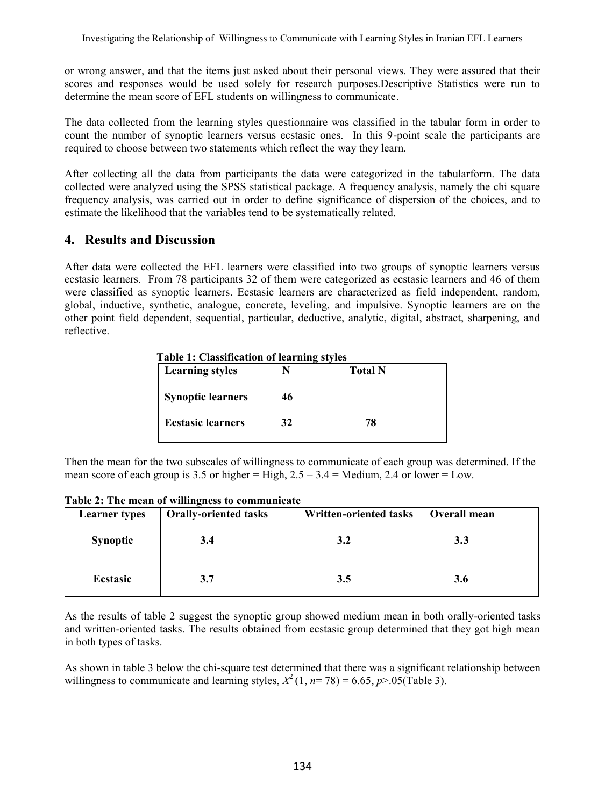or wrong answer, and that the items just asked about their personal views. They were assured that their scores and responses would be used solely for research purposes.Descriptive Statistics were run to determine the mean score of EFL students on willingness to communicate.

The data collected from the learning styles questionnaire was classified in the tabular form in order to count the number of synoptic learners versus ecstasic ones. In this 9-point scale the participants are required to choose between two statements which reflect the way they learn.

After collecting all the data from participants the data were categorized in the tabularform. The data collected were analyzed using the SPSS statistical package. A frequency analysis, namely the chi square frequency analysis, was carried out in order to define significance of dispersion of the choices, and to estimate the likelihood that the variables tend to be systematically related.

### **4. Results and Discussion**

After data were collected the EFL learners were classified into two groups of synoptic learners versus ecstasic learners. From 78 participants 32 of them were categorized as ecstasic learners and 46 of them were classified as synoptic learners. Ecstasic learners are characterized as field independent, random, global, inductive, synthetic, analogue, concrete, leveling, and impulsive. Synoptic learners are on the other point field dependent, sequential, particular, deductive, analytic, digital, abstract, sharpening, and reflective.

 **Table 1: Classification of learning styles**

| <b>Learning styles</b>   |    | <b>Total N</b> |  |
|--------------------------|----|----------------|--|
| <b>Synoptic learners</b> | 46 |                |  |
| <b>Ecstasic learners</b> | 32 | 78             |  |

Then the mean for the two subscales of willingness to communicate of each group was determined. If the mean score of each group is 3.5 or higher = High,  $2.5 - 3.4$  = Medium, 2.4 or lower = Low.

| <b>Learner</b> types | <b>Orally-oriented tasks</b> | Written-oriented tasks | Overall mean |
|----------------------|------------------------------|------------------------|--------------|
| <b>Synoptic</b>      | 3.4                          | 3.2                    | 3.3          |
| <b>Ecstasic</b>      | 3.7                          | 3.5                    | 3.6          |

**Table 2: The mean of willingness to communicate**

As the results of table 2 suggest the synoptic group showed medium mean in both orally-oriented tasks and written-oriented tasks. The results obtained from ecstasic group determined that they got high mean in both types of tasks.

As shown in table 3 below the chi-square test determined that there was a significant relationship between willingness to communicate and learning styles,  $X^2(1, n=78) = 6.65$ ,  $p > .05$ (Table 3).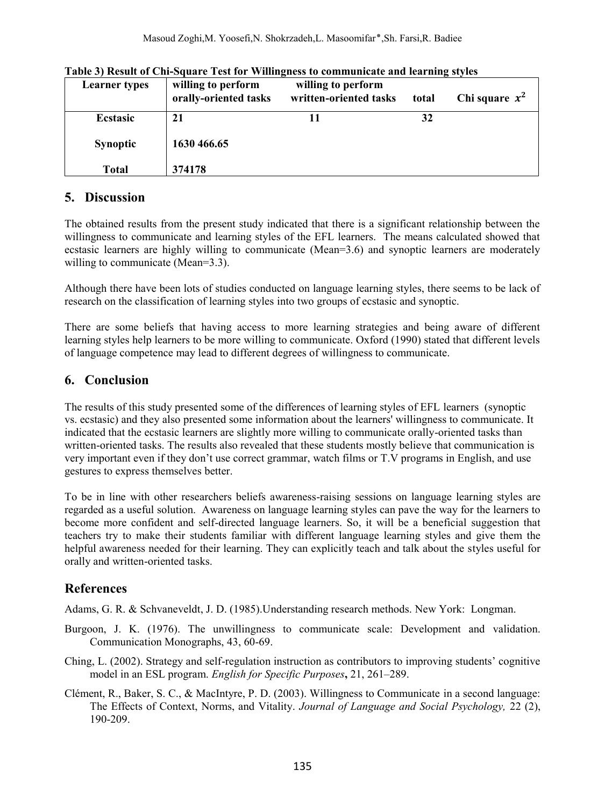| <b>Learner</b> types | willing to perform<br>orally-oriented tasks | willing to perform<br>written-oriented tasks | total | Chi square $x^2$ |
|----------------------|---------------------------------------------|----------------------------------------------|-------|------------------|
| Ecstasic             | 21                                          |                                              | 32    |                  |
| <b>Synoptic</b>      | 1630 466.65                                 |                                              |       |                  |
| Total                | 374178                                      |                                              |       |                  |

**Table 3) Result of Chi-Square Test for Willingness to communicate and learning styles**

### **5. Discussion**

The obtained results from the present study indicated that there is a significant relationship between the willingness to communicate and learning styles of the EFL learners. The means calculated showed that ecstasic learners are highly willing to communicate (Mean=3.6) and synoptic learners are moderately willing to communicate (Mean=3.3).

Although there have been lots of studies conducted on language learning styles, there seems to be lack of research on the classification of learning styles into two groups of ecstasic and synoptic.

There are some beliefs that having access to more learning strategies and being aware of different learning styles help learners to be more willing to communicate. Oxford (1990) stated that different levels of language competence may lead to different degrees of willingness to communicate.

# **6. Conclusion**

The results of this study presented some of the differences of learning styles of EFL learners (synoptic vs. ecstasic) and they also presented some information about the learners' willingness to communicate. It indicated that the ecstasic learners are slightly more willing to communicate orally-oriented tasks than written-oriented tasks. The results also revealed that these students mostly believe that communication is very important even if they don't use correct grammar, watch films or T.V programs in English, and use gestures to express themselves better.

To be in line with other researchers beliefs awareness-raising sessions on language learning styles are regarded as a useful solution. Awareness on language learning styles can pave the way for the learners to become more confident and self-directed language learners. So, it will be a beneficial suggestion that teachers try to make their students familiar with different language learning styles and give them the helpful awareness needed for their learning. They can explicitly teach and talk about the styles useful for orally and written-oriented tasks.

# **References**

Adams, G. R. & Schvaneveldt, J. D. (1985).Understanding research methods. New York: Longman.

- Burgoon, J. K. (1976). The unwillingness to communicate scale: Development and validation. Communication Monographs, 43, 60-69.
- Ching, L. (2002). Strategy and self-regulation instruction as contributors to improving students' cognitive model in an ESL program. *English for Specific Purposes***,** 21, 261–289.
- Clément, R., Baker, S. C., & MacIntyre, P. D. (2003). Willingness to Communicate in a second language: The Effects of Context, Norms, and Vitality. *Journal of Language and Social Psychology,* 22 (2), 190-209.